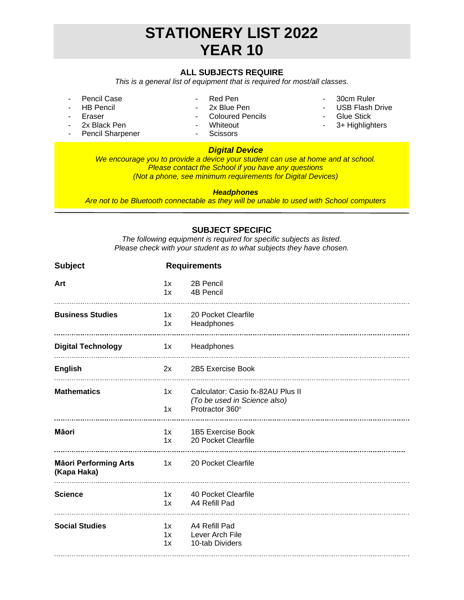# **STATIONERY LIST 2022 YEAR 10**

## **ALL SUBJECTS REQUIRE**

*This is a general list of equipment that is required for most/all classes.*

- Pencil Case
- HB Pencil **Eraser**
- Red Pen - 2x Blue Pen
- Coloured Pencils
- -
- 30cm Ruler
- USB Flash Drive
- Glue Stick
- 3+ Highlighters

2x Black Pen Pencil Sharpener

## - Whiteout

- Scissors

## *Digital Device*

*We encourage you to provide a device your student can use at home and at school. Please contact the School if you have any questions (Not a phone, see minimum requirements for Digital Devices)*

#### *Headphones*

*Are not to be Bluetooth connectable as they will be unable to used with School computers*

### **SUBJECT SPECIFIC**

*The following equipment is required for specific subjects as listed. Please check with your student as to what subjects they have chosen.*

| <b>Subject</b>                              | <b>Requirements</b> |                                                 |
|---------------------------------------------|---------------------|-------------------------------------------------|
| Art                                         | 1x                  | 2B Pencil                                       |
|                                             | 1x                  | 4B Pencil                                       |
| <b>Business Studies</b>                     | 1x                  | 20 Pocket Clearfile                             |
|                                             | 1x                  | Headphones                                      |
| <b>Digital Technology</b>                   |                     | 1x Headphones                                   |
| <b>English</b>                              |                     | 2x 2B5 Exercise Book                            |
| <b>Mathematics</b>                          | 1x                  | Calculator: Casio fx-82AU Plus II               |
|                                             | 1x                  | (To be used in Science also)<br>Protractor 360° |
| Māori                                       | 1x                  | 1B5 Exercise Book                               |
|                                             | 1x                  | 20 Pocket Clearfile                             |
| <b>Māori Performing Arts</b><br>(Kapa Haka) |                     | 1x 20 Pocket Clearfile                          |
| <b>Science</b>                              | 1x                  | 40 Pocket Clearfile                             |
|                                             | 1x                  | A4 Refill Pad                                   |
| <b>Social Studies</b>                       | 1x                  | A4 Refill Pad                                   |
|                                             | 1x                  | Lever Arch File                                 |
|                                             | 1x                  | 10-tab Dividers                                 |